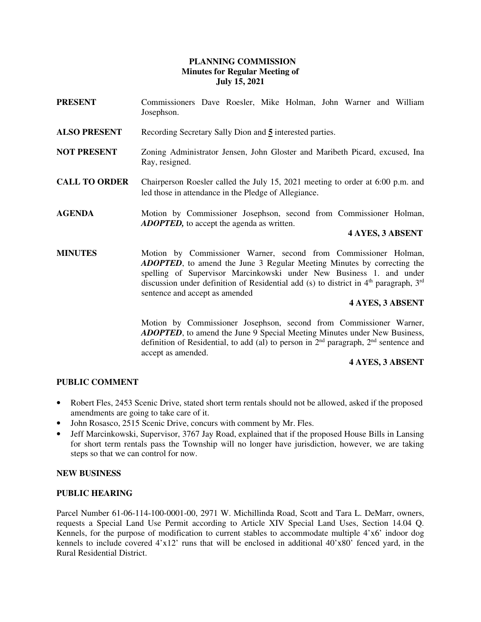# **PLANNING COMMISSION Minutes for Regular Meeting of July 15, 2021**

- **PRESENT** Commissioners Dave Roesler, Mike Holman, John Warner and William Josephson.
- **ALSO PRESENT** Recording Secretary Sally Dion and **5** interested parties.
- **NOT PRESENT** Zoning Administrator Jensen, John Gloster and Maribeth Picard, excused, Ina Ray, resigned.
- **CALL TO ORDER** Chairperson Roesler called the July 15, 2021 meeting to order at 6:00 p.m. and led those in attendance in the Pledge of Allegiance.
- **AGENDA** Motion by Commissioner Josephson, second from Commissioner Holman, *ADOPTED,* to accept the agenda as written.

# **4 AYES, 3 ABSENT**

**MINUTES** Motion by Commissioner Warner, second from Commissioner Holman, *ADOPTED*, to amend the June 3 Regular Meeting Minutes by correcting the spelling of Supervisor Marcinkowski under New Business 1. and under discussion under definition of Residential add (s) to district in  $4<sup>th</sup>$  paragraph,  $3<sup>rd</sup>$ sentence and accept as amended

## **4 AYES, 3 ABSENT**

Motion by Commissioner Josephson, second from Commissioner Warner, *ADOPTED*, to amend the June 9 Special Meeting Minutes under New Business, definition of Residential, to add (al) to person in  $2<sup>nd</sup>$  paragraph,  $2<sup>nd</sup>$  sentence and accept as amended.

# **4 AYES, 3 ABSENT**

# **PUBLIC COMMENT**

- Robert Fles, 2453 Scenic Drive, stated short term rentals should not be allowed, asked if the proposed amendments are going to take care of it.
- John Rosasco, 2515 Scenic Drive, concurs with comment by Mr. Fles.
- Jeff Marcinkowski, Supervisor, 3767 Jay Road, explained that if the proposed House Bills in Lansing for short term rentals pass the Township will no longer have jurisdiction, however, we are taking steps so that we can control for now.

## **NEW BUSINESS**

#### **PUBLIC HEARING**

Parcel Number 61-06-114-100-0001-00, 2971 W. Michillinda Road, Scott and Tara L. DeMarr, owners, requests a Special Land Use Permit according to Article XIV Special Land Uses, Section 14.04 Q. Kennels, for the purpose of modification to current stables to accommodate multiple 4'x6' indoor dog kennels to include covered 4'x12' runs that will be enclosed in additional 40'x80' fenced yard, in the Rural Residential District.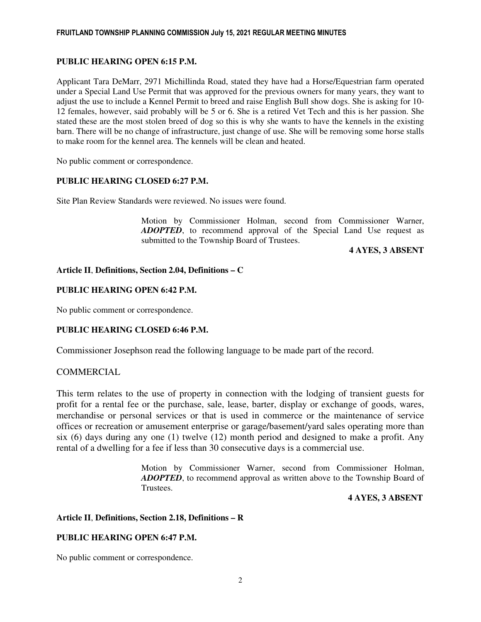## **PUBLIC HEARING OPEN 6:15 P.M.**

Applicant Tara DeMarr, 2971 Michillinda Road, stated they have had a Horse/Equestrian farm operated under a Special Land Use Permit that was approved for the previous owners for many years, they want to adjust the use to include a Kennel Permit to breed and raise English Bull show dogs. She is asking for 10- 12 females, however, said probably will be 5 or 6. She is a retired Vet Tech and this is her passion. She stated these are the most stolen breed of dog so this is why she wants to have the kennels in the existing barn. There will be no change of infrastructure, just change of use. She will be removing some horse stalls to make room for the kennel area. The kennels will be clean and heated.

No public comment or correspondence.

## **PUBLIC HEARING CLOSED 6:27 P.M.**

Site Plan Review Standards were reviewed. No issues were found.

Motion by Commissioner Holman, second from Commissioner Warner, *ADOPTED*, to recommend approval of the Special Land Use request as submitted to the Township Board of Trustees.

**4 AYES, 3 ABSENT** 

# **Article II**, **Definitions, Section 2.04, Definitions – C**

## **PUBLIC HEARING OPEN 6:42 P.M.**

No public comment or correspondence.

## **PUBLIC HEARING CLOSED 6:46 P.M.**

Commissioner Josephson read the following language to be made part of the record.

## **COMMERCIAL**

This term relates to the use of property in connection with the lodging of transient guests for profit for a rental fee or the purchase, sale, lease, barter, display or exchange of goods, wares, merchandise or personal services or that is used in commerce or the maintenance of service offices or recreation or amusement enterprise or garage/basement/yard sales operating more than six (6) days during any one (1) twelve (12) month period and designed to make a profit. Any rental of a dwelling for a fee if less than 30 consecutive days is a commercial use.

> Motion by Commissioner Warner, second from Commissioner Holman, *ADOPTED*, to recommend approval as written above to the Township Board of **Trustees**

#### **4 AYES, 3 ABSENT**

## **Article II**, **Definitions, Section 2.18, Definitions – R**

## **PUBLIC HEARING OPEN 6:47 P.M.**

No public comment or correspondence.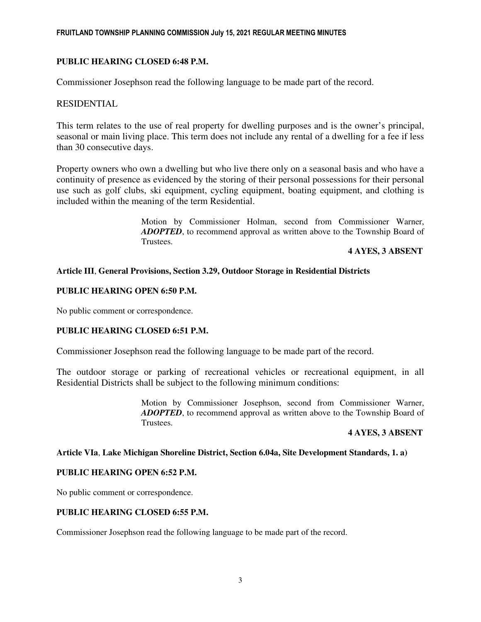### FRUITLAND TOWNSHIP PLANNING COMMISSION July 15, 2021 REGULAR MEETING MINUTES

## **PUBLIC HEARING CLOSED 6:48 P.M.**

Commissioner Josephson read the following language to be made part of the record.

## RESIDENTIAL

This term relates to the use of real property for dwelling purposes and is the owner's principal, seasonal or main living place. This term does not include any rental of a dwelling for a fee if less than 30 consecutive days.

Property owners who own a dwelling but who live there only on a seasonal basis and who have a continuity of presence as evidenced by the storing of their personal possessions for their personal use such as golf clubs, ski equipment, cycling equipment, boating equipment, and clothing is included within the meaning of the term Residential.

> Motion by Commissioner Holman, second from Commissioner Warner, *ADOPTED*, to recommend approval as written above to the Township Board of Trustees.

### **4 AYES, 3 ABSENT**

### **Article III**, **General Provisions, Section 3.29, Outdoor Storage in Residential Districts**

#### **PUBLIC HEARING OPEN 6:50 P.M.**

No public comment or correspondence.

#### **PUBLIC HEARING CLOSED 6:51 P.M.**

Commissioner Josephson read the following language to be made part of the record.

The outdoor storage or parking of recreational vehicles or recreational equipment, in all Residential Districts shall be subject to the following minimum conditions:

> Motion by Commissioner Josephson, second from Commissioner Warner, *ADOPTED*, to recommend approval as written above to the Township Board of Trustees.

#### **4 AYES, 3 ABSENT**

#### **Article VIa**, **Lake Michigan Shoreline District, Section 6.04a, Site Development Standards, 1. a)**

#### **PUBLIC HEARING OPEN 6:52 P.M.**

No public comment or correspondence.

### **PUBLIC HEARING CLOSED 6:55 P.M.**

Commissioner Josephson read the following language to be made part of the record.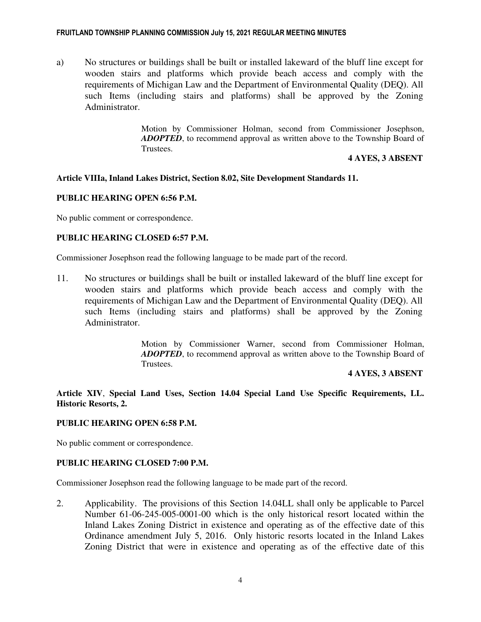### FRUITLAND TOWNSHIP PLANNING COMMISSION July 15, 2021 REGULAR MEETING MINUTES

a) No structures or buildings shall be built or installed lakeward of the bluff line except for wooden stairs and platforms which provide beach access and comply with the requirements of Michigan Law and the Department of Environmental Quality (DEQ). All such Items (including stairs and platforms) shall be approved by the Zoning Administrator.

> Motion by Commissioner Holman, second from Commissioner Josephson, *ADOPTED*, to recommend approval as written above to the Township Board of Trustees.

### **4 AYES, 3 ABSENT**

### **Article VIIIa, Inland Lakes District, Section 8.02, Site Development Standards 11.**

#### **PUBLIC HEARING OPEN 6:56 P.M.**

No public comment or correspondence.

# **PUBLIC HEARING CLOSED 6:57 P.M.**

Commissioner Josephson read the following language to be made part of the record.

11. No structures or buildings shall be built or installed lakeward of the bluff line except for wooden stairs and platforms which provide beach access and comply with the requirements of Michigan Law and the Department of Environmental Quality (DEQ). All such Items (including stairs and platforms) shall be approved by the Zoning Administrator.

> Motion by Commissioner Warner, second from Commissioner Holman, *ADOPTED*, to recommend approval as written above to the Township Board of Trustees.

### **4 AYES, 3 ABSENT**

**Article XIV**, **Special Land Uses, Section 14.04 Special Land Use Specific Requirements, LL. Historic Resorts, 2.**

#### **PUBLIC HEARING OPEN 6:58 P.M.**

No public comment or correspondence.

## **PUBLIC HEARING CLOSED 7:00 P.M.**

Commissioner Josephson read the following language to be made part of the record.

2. Applicability. The provisions of this Section 14.04LL shall only be applicable to Parcel Number 61-06-245-005-0001-00 which is the only historical resort located within the Inland Lakes Zoning District in existence and operating as of the effective date of this Ordinance amendment July 5, 2016. Only historic resorts located in the Inland Lakes Zoning District that were in existence and operating as of the effective date of this